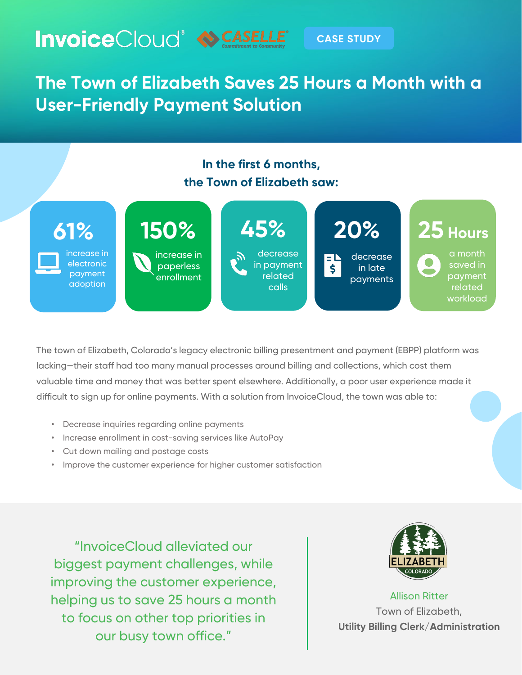

## **CASE STUDY**

**The Town of Elizabeth Saves 25 Hours a Month with a User-Friendly Payment Solution**





The town of Elizabeth, Colorado's legacy electronic billing presentment and payment (EBPP) platform was lacking—their staff had too many manual processes around billing and collections, which cost them valuable time and money that was better spent elsewhere. Additionally, a poor user experience made it difficult to sign up for online payments. With a solution from InvoiceCloud, the town was able to:

- Decrease inquiries regarding online payments
- Increase enrollment in cost-saving services like AutoPay
- Cut down mailing and postage costs
- Improve the customer experience for higher customer satisfaction

"InvoiceCloud alleviated our biggest payment challenges, while improving the customer experience, helping us to save 25 hours a month to focus on other top priorities in our busy town office."



Allison Ritter Town of Elizabeth, **Utility Billing Clerk/Administration**